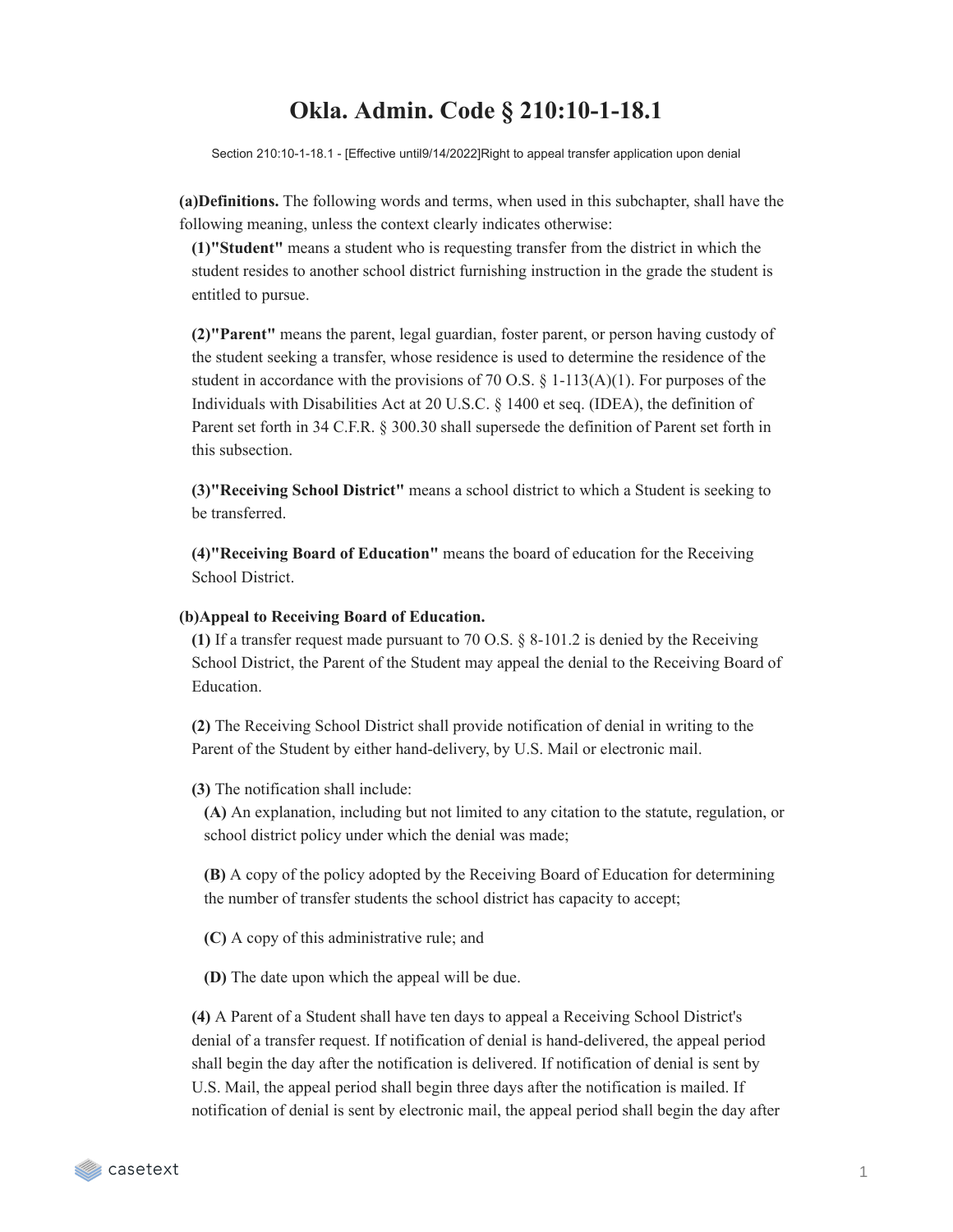## **Okla. Admin. Code § 210:10-1-18.1**

Section 210:10-1-18.1 - [Effective until9/14/2022]Right to appeal transfer application upon denial

**(a)Definitions.** The following words and terms, when used in this subchapter, shall have the following meaning, unless the context clearly indicates otherwise:

**(1)"Student"** means a student who is requesting transfer from the district in which the student resides to another school district furnishing instruction in the grade the student is entitled to pursue.

**(2)"Parent"** means the parent, legal guardian, foster parent, or person having custody of the student seeking a transfer, whose residence is used to determine the residence of the student in accordance with the provisions of 70 O.S.  $\S$  1-113(A)(1). For purposes of the Individuals with Disabilities Act at 20 U.S.C. § 1400 et seq. (IDEA), the definition of Parent set forth in 34 C.F.R. § 300.30 shall supersede the definition of Parent set forth in this subsection.

**(3)"Receiving School District"** means a school district to which a Student is seeking to be transferred.

**(4)"Receiving Board of Education"** means the board of education for the Receiving School District.

## **(b)Appeal to Receiving Board of Education.**

**(1)** If a transfer request made pursuant to 70 O.S. § 8-101.2 is denied by the Receiving School District, the Parent of the Student may appeal the denial to the Receiving Board of Education.

**(2)** The Receiving School District shall provide notification of denial in writing to the Parent of the Student by either hand-delivery, by U.S. Mail or electronic mail.

**(3)** The notification shall include:

**(A)** An explanation, including but not limited to any citation to the statute, regulation, or school district policy under which the denial was made;

**(B)** A copy of the policy adopted by the Receiving Board of Education for determining the number of transfer students the school district has capacity to accept;

**(C)** A copy of this administrative rule; and

**(D)** The date upon which the appeal will be due.

**(4)** A Parent of a Student shall have ten days to appeal a Receiving School District's denial of a transfer request. If notification of denial is hand-delivered, the appeal period shall begin the day after the notification is delivered. If notification of denial is sent by U.S. Mail, the appeal period shall begin three days after the notification is mailed. If notification of denial is sent by electronic mail, the appeal period shall begin the day after

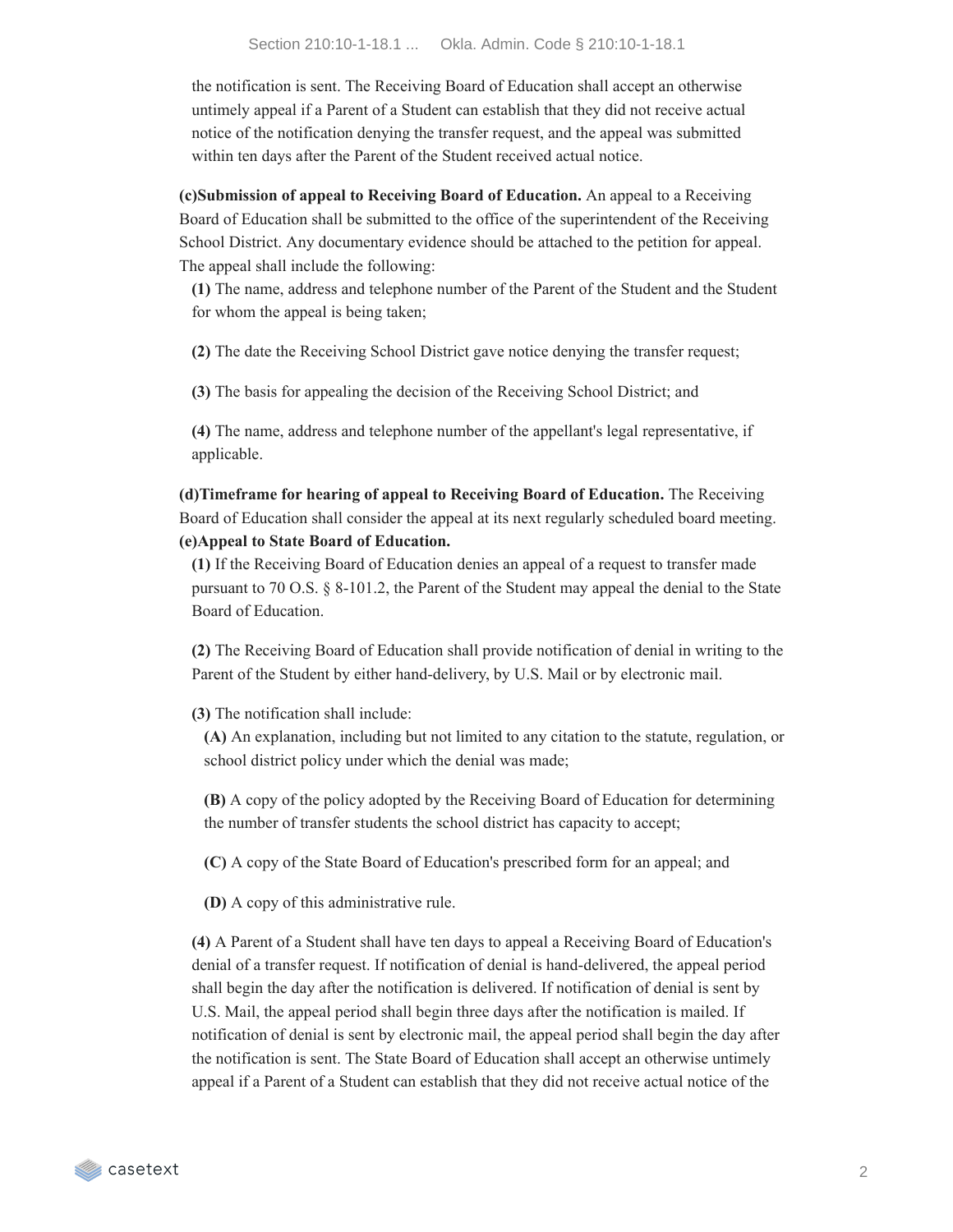the notification is sent. The Receiving Board of Education shall accept an otherwise untimely appeal if a Parent of a Student can establish that they did not receive actual notice of the notification denying the transfer request, and the appeal was submitted within ten days after the Parent of the Student received actual notice.

**(c)Submission of appeal to Receiving Board of Education.** An appeal to a Receiving Board of Education shall be submitted to the office of the superintendent of the Receiving School District. Any documentary evidence should be attached to the petition for appeal. The appeal shall include the following:

**(1)** The name, address and telephone number of the Parent of the Student and the Student for whom the appeal is being taken;

**(2)** The date the Receiving School District gave notice denying the transfer request;

**(3)** The basis for appealing the decision of the Receiving School District; and

**(4)** The name, address and telephone number of the appellant's legal representative, if applicable.

**(d)Timeframe for hearing of appeal to Receiving Board of Education.** The Receiving Board of Education shall consider the appeal at its next regularly scheduled board meeting. **(e)Appeal to State Board of Education.**

**(1)** If the Receiving Board of Education denies an appeal of a request to transfer made pursuant to 70 O.S. § 8-101.2, the Parent of the Student may appeal the denial to the State Board of Education.

**(2)** The Receiving Board of Education shall provide notification of denial in writing to the Parent of the Student by either hand-delivery, by U.S. Mail or by electronic mail.

**(3)** The notification shall include:

**(A)** An explanation, including but not limited to any citation to the statute, regulation, or school district policy under which the denial was made;

**(B)** A copy of the policy adopted by the Receiving Board of Education for determining the number of transfer students the school district has capacity to accept;

**(C)** A copy of the State Board of Education's prescribed form for an appeal; and

**(D)** A copy of this administrative rule.

**(4)** A Parent of a Student shall have ten days to appeal a Receiving Board of Education's denial of a transfer request. If notification of denial is hand-delivered, the appeal period shall begin the day after the notification is delivered. If notification of denial is sent by U.S. Mail, the appeal period shall begin three days after the notification is mailed. If notification of denial is sent by electronic mail, the appeal period shall begin the day after the notification is sent. The State Board of Education shall accept an otherwise untimely appeal if a Parent of a Student can establish that they did not receive actual notice of the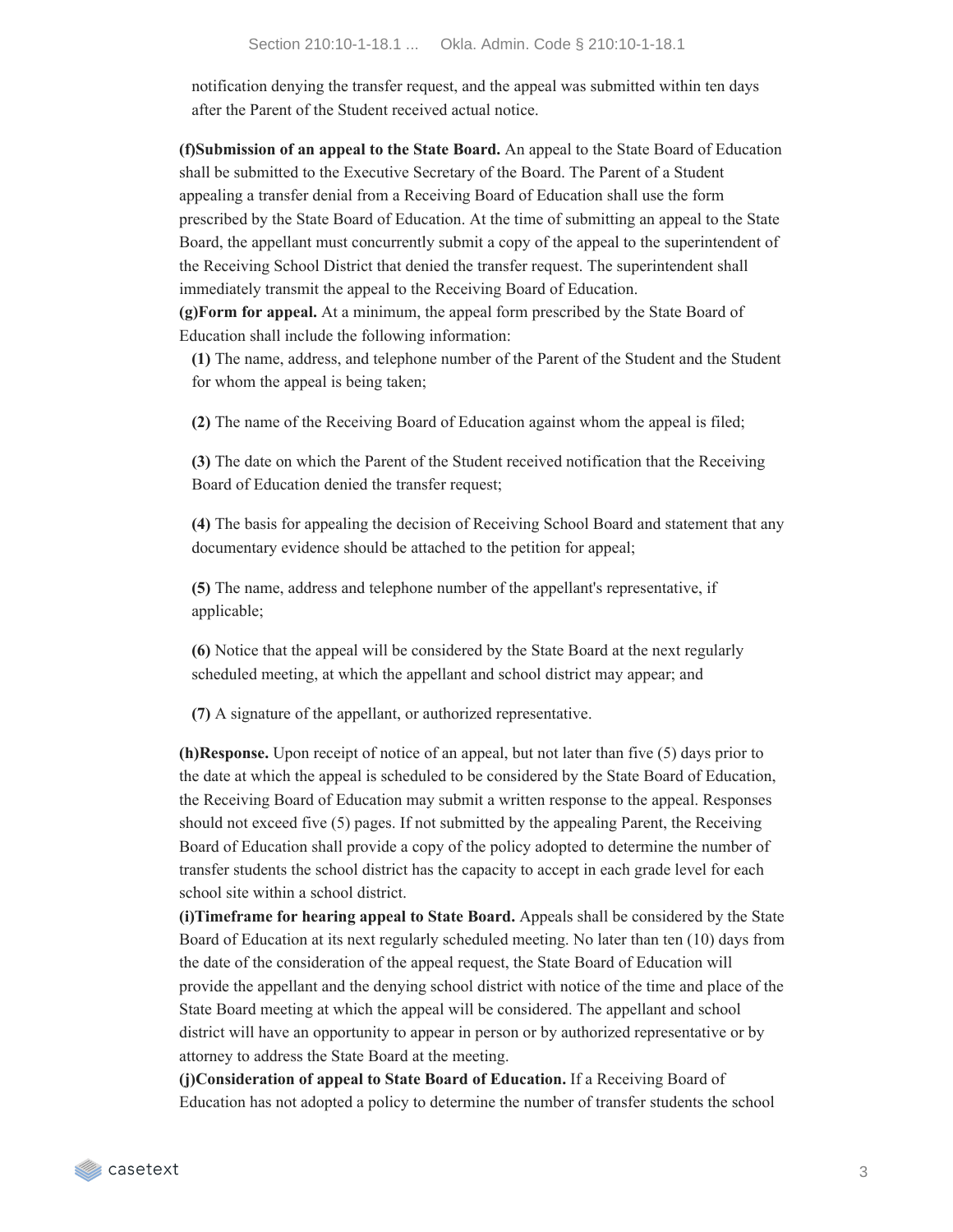notification denying the transfer request, and the appeal was submitted within ten days after the Parent of the Student received actual notice.

**(f)Submission of an appeal to the State Board.** An appeal to the State Board of Education shall be submitted to the Executive Secretary of the Board. The Parent of a Student appealing a transfer denial from a Receiving Board of Education shall use the form prescribed by the State Board of Education. At the time of submitting an appeal to the State Board, the appellant must concurrently submit a copy of the appeal to the superintendent of the Receiving School District that denied the transfer request. The superintendent shall immediately transmit the appeal to the Receiving Board of Education. **(g)Form for appeal.** At a minimum, the appeal form prescribed by the State Board of Education shall include the following information:

**(1)** The name, address, and telephone number of the Parent of the Student and the Student for whom the appeal is being taken;

**(2)** The name of the Receiving Board of Education against whom the appeal is filed;

**(3)** The date on which the Parent of the Student received notification that the Receiving Board of Education denied the transfer request;

**(4)** The basis for appealing the decision of Receiving School Board and statement that any documentary evidence should be attached to the petition for appeal;

**(5)** The name, address and telephone number of the appellant's representative, if applicable;

**(6)** Notice that the appeal will be considered by the State Board at the next regularly scheduled meeting, at which the appellant and school district may appear; and

**(7)** A signature of the appellant, or authorized representative.

**(h)Response.** Upon receipt of notice of an appeal, but not later than five (5) days prior to the date at which the appeal is scheduled to be considered by the State Board of Education, the Receiving Board of Education may submit a written response to the appeal. Responses should not exceed five (5) pages. If not submitted by the appealing Parent, the Receiving Board of Education shall provide a copy of the policy adopted to determine the number of transfer students the school district has the capacity to accept in each grade level for each school site within a school district.

**(i)Timeframe for hearing appeal to State Board.** Appeals shall be considered by the State Board of Education at its next regularly scheduled meeting. No later than ten (10) days from the date of the consideration of the appeal request, the State Board of Education will provide the appellant and the denying school district with notice of the time and place of the State Board meeting at which the appeal will be considered. The appellant and school district will have an opportunity to appear in person or by authorized representative or by attorney to address the State Board at the meeting.

**(j)Consideration of appeal to State Board of Education.** If a Receiving Board of Education has not adopted a policy to determine the number of transfer students the school